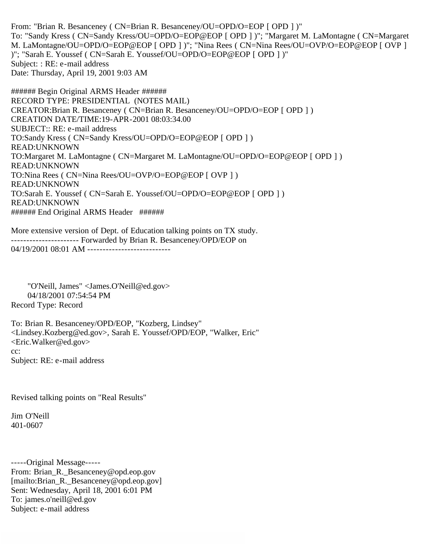From: "Brian R. Besanceney ( CN=Brian R. Besanceney/OU=OPD/O=EOP [ OPD ] )" To: "Sandy Kress ( CN=Sandy Kress/OU=OPD/O=EOP@EOP [ OPD ] )"; "Margaret M. LaMontagne ( CN=Margaret M. LaMontagne/OU=OPD/O=EOP@EOP [ OPD ] )"; "Nina Rees ( CN=Nina Rees/OU=OVP/O=EOP@EOP [ OVP ] )"; "Sarah E. Youssef ( CN=Sarah E. Youssef/OU=OPD/O=EOP@EOP [ OPD ] )" Subject: : RE: e-mail address Date: Thursday, April 19, 2001 9:03 AM

###### Begin Original ARMS Header ###### RECORD TYPE: PRESIDENTIAL (NOTES MAIL) CREATOR:Brian R. Besanceney ( CN=Brian R. Besanceney/OU=OPD/O=EOP [ OPD ] ) CREATION DATE/TIME:19-APR-2001 08:03:34.00 SUBJECT:: RE: e-mail address TO:Sandy Kress ( CN=Sandy Kress/OU=OPD/O=EOP@EOP [ OPD ] ) READ:UNKNOWN TO:Margaret M. LaMontagne ( CN=Margaret M. LaMontagne/OU=OPD/O=EOP@EOP [ OPD ] ) READ:UNKNOWN TO:Nina Rees ( CN=Nina Rees/OU=OVP/O=EOP@EOP [ OVP ] ) READ:UNKNOWN TO:Sarah E. Youssef ( CN=Sarah E. Youssef/OU=OPD/O=EOP@EOP [ OPD ] ) READ:UNKNOWN ###### End Original ARMS Header ######

More extensive version of Dept. of Education talking points on TX study. ---------------------- Forwarded by Brian R. Besanceney/OPD/EOP on 04/19/2001 08:01 AM ---------------------------

 "O'Neill, James" <James.O'Neill@ed.gov> 04/18/2001 07:54:54 PM Record Type: Record

To: Brian R. Besanceney/OPD/EOP, "Kozberg, Lindsey" <Lindsey.Kozberg@ed.gov>, Sarah E. Youssef/OPD/EOP, "Walker, Eric" <Eric.Walker@ed.gov> cc: Subject: RE: e-mail address

Revised talking points on "Real Results"

Jim O'Neill 401-0607

-----Original Message----- From: Brian\_R.\_Besanceney@opd.eop.gov [mailto:Brian\_R.\_Besanceney@opd.eop.gov] Sent: Wednesday, April 18, 2001 6:01 PM To: james.o'neill@ed.gov Subject: e-mail address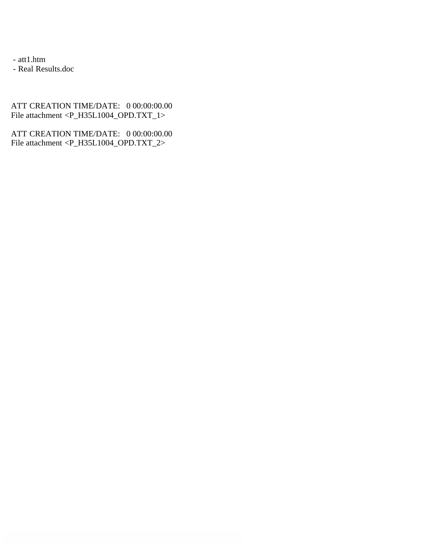- att1.htm

- Real Results.doc

ATT CREATION TIME/DATE: 0 00:00:00.00 File attachment <P\_H35L1004\_OPD.TXT\_1>

ATT CREATION TIME/DATE: 0 00:00:00.00 File attachment <P\_H35L1004\_OPD.TXT\_2>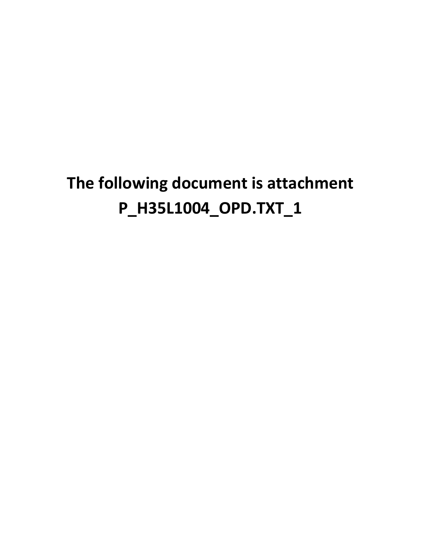# **The following document is attachment P\_H35L1004\_OPD.TXT\_1**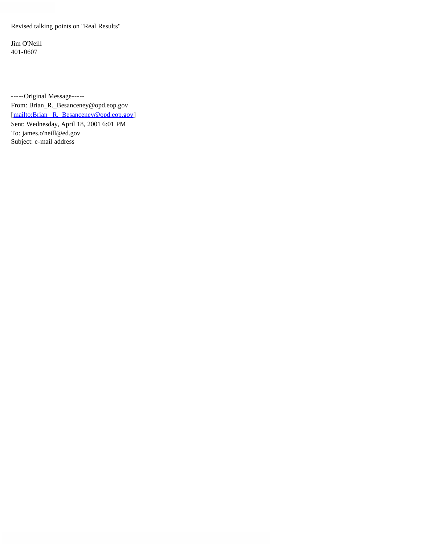Revised talking points on "Real Results"

Jim O'Neill 401-0607

-----Original Message----- From: Brian\_R.\_Besanceney@opd.eop.gov [mailto:Brian R. Besanceney@opd.eop.gov] Sent: Wednesday, April 18, 2001 6:01 PM To: james.o'neill@ed.gov Subject: e-mail address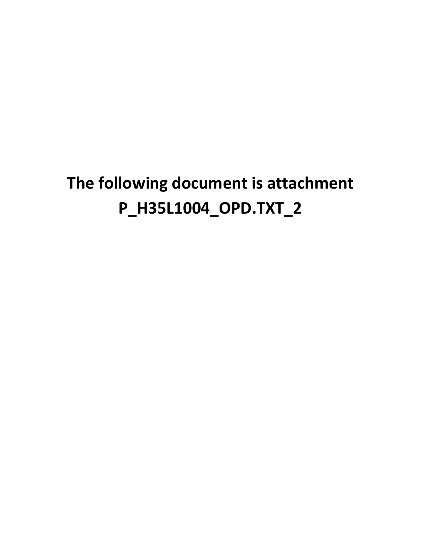# **The following document is attachment P\_H35L1004\_OPD.TXT\_2**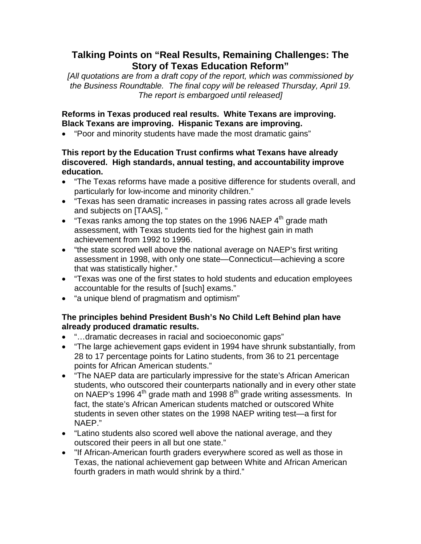## **Talking Points on "Real Results, Remaining Challenges: The Story of Texas Education Reform"**

*[All quotations are from a draft copy of the report, which was commissioned by the Business Roundtable. The final copy will be released Thursday, April 19. The report is embargoed until released]*

### **Reforms in Texas produced real results. White Texans are improving. Black Texans are improving. Hispanic Texans are improving.**

• "Poor and minority students have made the most dramatic gains"

#### **This report by the Education Trust confirms what Texans have already discovered. High standards, annual testing, and accountability improve education.**

- "The Texas reforms have made a positive difference for students overall, and particularly for low-income and minority children."
- "Texas has seen dramatic increases in passing rates across all grade levels and subjects on [TAAS], "
- "Texas ranks among the top states on the 1996 NAEP  $4<sup>th</sup>$  grade math assessment, with Texas students tied for the highest gain in math achievement from 1992 to 1996.
- "the state scored well above the national average on NAEP's first writing assessment in 1998, with only one state—Connecticut—achieving a score that was statistically higher."
- "Texas was one of the first states to hold students and education employees accountable for the results of [such] exams."
- "a unique blend of pragmatism and optimism"

### **The principles behind President Bush's No Child Left Behind plan have already produced dramatic results.**

- "…dramatic decreases in racial and socioeconomic gaps"
- "The large achievement gaps evident in 1994 have shrunk substantially, from 28 to 17 percentage points for Latino students, from 36 to 21 percentage points for African American students."
- "The NAEP data are particularly impressive for the state's African American students, who outscored their counterparts nationally and in every other state on NAEP's 1996  $4<sup>th</sup>$  grade math and 1998  $8<sup>th</sup>$  grade writing assessments. In fact, the state's African American students matched or outscored White students in seven other states on the 1998 NAEP writing test—a first for NAEP."
- "Latino students also scored well above the national average, and they outscored their peers in all but one state."
- "If African-American fourth graders everywhere scored as well as those in Texas, the national achievement gap between White and African American fourth graders in math would shrink by a third."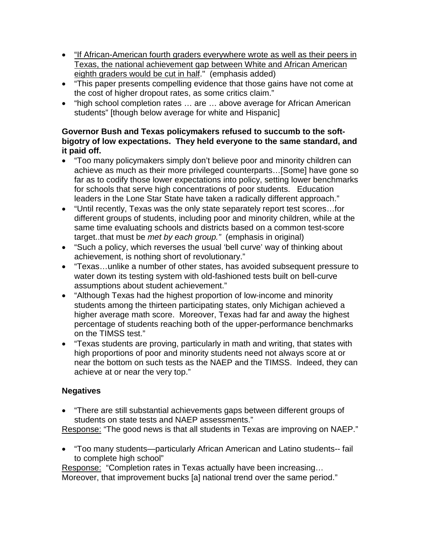- "If African-American fourth graders everywhere wrote as well as their peers in Texas, the national achievement gap between White and African American eighth graders would be cut in half." (emphasis added)
- "This paper presents compelling evidence that those gains have not come at the cost of higher dropout rates, as some critics claim."
- "high school completion rates … are … above average for African American students" [though below average for white and Hispanic]

### **Governor Bush and Texas policymakers refused to succumb to the softbigotry of low expectations. They held everyone to the same standard, and it paid off.**

- "Too many policymakers simply don't believe poor and minority children can achieve as much as their more privileged counterparts…[Some] have gone so far as to codify those lower expectations into policy, setting lower benchmarks for schools that serve high concentrations of poor students. Education leaders in the Lone Star State have taken a radically different approach."
- "Until recently, Texas was the only state separately report test scores…for different groups of students, including poor and minority children, while at the same time evaluating schools and districts based on a common test-score target..that must be *met by each group."* (emphasis in original)
- "Such a policy, which reverses the usual 'bell curve' way of thinking about achievement, is nothing short of revolutionary."
- "Texas…unlike a number of other states, has avoided subsequent pressure to water down its testing system with old-fashioned tests built on bell-curve assumptions about student achievement."
- "Although Texas had the highest proportion of low-income and minority students among the thirteen participating states, only Michigan achieved a higher average math score. Moreover, Texas had far and away the highest percentage of students reaching both of the upper-performance benchmarks on the TIMSS test."
- "Texas students are proving, particularly in math and writing, that states with high proportions of poor and minority students need not always score at or near the bottom on such tests as the NAEP and the TIMSS. Indeed, they can achieve at or near the very top."

## **Negatives**

• "There are still substantial achievements gaps between different groups of students on state tests and NAEP assessments."

Response: "The good news is that all students in Texas are improving on NAEP."

• "Too many students—particularly African American and Latino students-- fail to complete high school"

Response: "Completion rates in Texas actually have been increasing... Moreover, that improvement bucks [a] national trend over the same period."